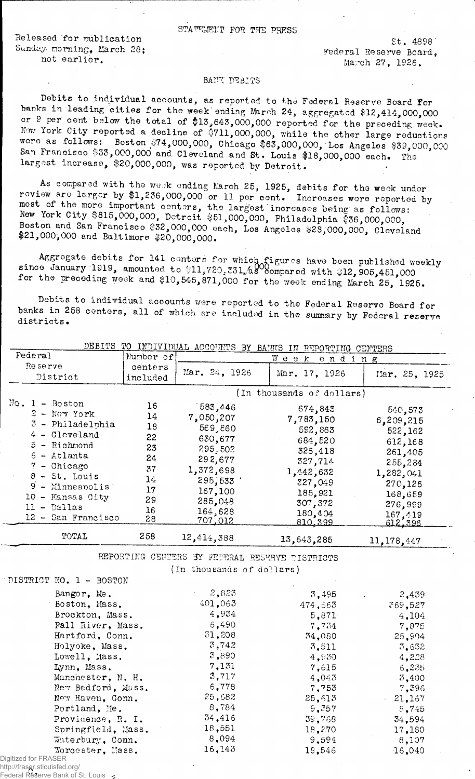STATEMENT FOR THE PRESS

Released for publication Sunday morning, March 28; not earlier.

St. 4898 Federal Reserve Board, March 27, 1926.

## BANK DEBITS

Debits to individual accounts, as reported to the Federal Reserve Board for banks in leading cities for the week ending March 24, aggregated \$12,414,000,000 or 9 per cent below the total of \$13,643,000,000 reported for the preceding week. Now York City reported a decline of \$711,000,000, while the other large reductions were as follows: Boston \$74,000,000, Chicago \$63,000,000, Los Angeles \$39,000,000 San Francisco \$33,000,000 and Cleveland and St. Louis \$18,000,000 each. largest increase, \$20,000,000, was reported by Detroit.

As compared with the wook ending March 25, 1925, debits for the week under review are larger by #1,236,000,000 or 11 per cent. Increases wore reported by most of the more important centers, the largest increases being as follows: Jiew York City \$815,000,000, Detroit \$51,000,000, Philadelphia \$36,000,000, Boston and San Francisco #32,000,000 each, Los Angeles #28,000,000, Cleveland \$21,000,000 and Baltimore \$20,000,000.

for 141 centers for which figures have been published weekly  $0$ , 331,/a $8^\circ$ co Aggregate debit! since January 1919, amounted to  $11,720,731/48^{\circ}$  compared with  $312,905,451,000$ for the preceding week and \$10,545,871,000 for the week ending March 25, 1925.

Debits to individual accounts were reported to the Federal Reserve Board for banks in 258 centers, all of which are included in the summary by Federal reserve districts.

|                                                    |                     |                                                | DEBITS TO INDIVIDUAL ACCOUNTS BY BANKS IN REPORTING CENTERS |               |
|----------------------------------------------------|---------------------|------------------------------------------------|-------------------------------------------------------------|---------------|
| Federal                                            | Number of           |                                                | Week<br>ending                                              |               |
| Reserve<br>District                                | centers<br>included | Mar. 24, 1926                                  | Mar. 17, 1926                                               | Mar. 25, 1925 |
|                                                    |                     |                                                | (In thousands of dollars)                                   |               |
| $Mo. 1 - Boston$                                   | 16                  | 583,446                                        | 674,843                                                     | 540,573       |
| $2$ - Nev York                                     | 14                  | 7,050,207                                      | 7,783,150                                                   | 6,209,215     |
| 3 - Philadelphia                                   | 18                  | 569,860                                        | 592,863                                                     | 522,162       |
| 4 - Cleveland                                      | 22                  | 630,677                                        | 684,520                                                     | 612,168       |
| 5 - Richmond                                       | 23                  | 295.502                                        | 326,418                                                     | 261,405       |
| $6$ - Atlanta                                      | 24                  | 292,677                                        | 327,714                                                     | 255,284       |
| 7 - Chicago                                        | 37                  | 1,372,698                                      | 1,442,632                                                   | 1,282,041     |
| $8 - St.$ Louis                                    | 14                  | 295,533                                        | 327,049                                                     | 270,126       |
| $9 -$ Minneapolis                                  | 17                  | 167,100                                        | 185,921                                                     | 168,659       |
| 10 - Kansas City                                   | 29                  | 285,048                                        | 307,372                                                     | 276,999       |
| $11 -$ Dallas                                      | 16                  | 164,628                                        | 180,404                                                     | 167,419       |
| 12 - San Francisco                                 | 28                  | 707,012                                        | 810,399                                                     | 612.396       |
| TOTAL                                              | 258                 | 12,414,388                                     | 13,643,285                                                  | 11, 178, 447  |
|                                                    |                     | REPORTING CENTERS BY FEDERAL RESERVE DISTRICTS |                                                             |               |
|                                                    |                     | (In thousands of dollars)                      |                                                             |               |
| DISTRICT NO. 1 - BOSTON                            |                     |                                                |                                                             |               |
| Bangor, Me.                                        |                     | 2,823                                          | 3,495                                                       | 2,439         |
| Boston, Mass.                                      |                     | 401,063                                        | 474,663                                                     | 369.527       |
| Brockton, Mass.                                    |                     | 4,934                                          | 5,871                                                       | 4,104         |
| Fall River, Mass.                                  |                     | 6,490                                          | 7,734                                                       | 7,875         |
| Hartford, Conn.<br>Holyoke, Mass.<br>Lowell, Mass. |                     | 31,208                                         | 34,080                                                      | 25,904        |
|                                                    |                     | 3,742                                          | 3,511                                                       | 3,632         |
|                                                    |                     | 3,890                                          | 4,930                                                       | 4,228         |
| Lynn, Mass.                                        |                     | 7,131                                          | 7,615                                                       | 6,235         |
| Manchester, N. H.                                  |                     | 3,717                                          | 4,043                                                       | 3,400         |
| New Bedford, Mass.                                 |                     | 6,778                                          | 7,753                                                       | 7,396         |
| New Haven, Conn.                                   |                     | 25,682                                         | 25,613                                                      | 21,167        |
| Portland, Me.                                      |                     | 8,784                                          | 9,357                                                       | 8,745         |
| Providence, R. I.                                  |                     | 34,416                                         | 39,768                                                      | 34,594        |
| Springfield, Mass.                                 |                     | 18,551                                         | 18,270                                                      | 17,180        |
| Waterbury, Conn.                                   |                     | 8,094                                          | 9,594                                                       | 8,107         |
| Worcester, Mass.                                   |                     | 16,143                                         | 18,546                                                      | 16,040        |

http://fraser.stlouisfed.org/<br>Eederal Peserve Bank of S

Digitized for FRASER

Federal Reserve Bank of St. Louis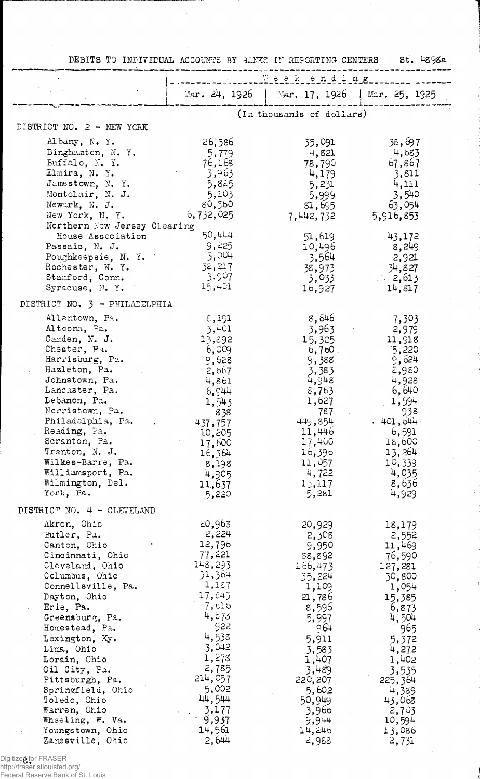|                                                 | DEBITS TO INDIVIDUAL ACCOUNTE BY BANKE IN REPORTING CENTERS |                                               | $St.$ $4898a$    |
|-------------------------------------------------|-------------------------------------------------------------|-----------------------------------------------|------------------|
|                                                 | Weekending                                                  |                                               |                  |
|                                                 |                                                             | Mar. 24, 1926   Mar. 17, 1926   Mar. 25, 1925 |                  |
|                                                 |                                                             | (In thousands of dollars)                     |                  |
| DISTRICT NO. 2 - NEW YORK                       |                                                             |                                               |                  |
| Albany, N.Y.                                    | 26,586                                                      | 35,091                                        | 38,697           |
| Binghamton, N. Y.                               | 5,779                                                       | 4,821                                         | 4,683            |
| Buffalo, N. Y.                                  | 76,168                                                      | 78,790                                        | 67,867           |
| Elmira, N.Y.                                    | 3,963                                                       | 4,179                                         | 3,811            |
| Jamestown, N. Y.                                | 5,825                                                       | 5,231                                         | 4,111            |
| Montclair, N. J.                                | 5,103                                                       | 5,999                                         | 3,540            |
| Newark, N. J.                                   | 80,560                                                      | 51,655                                        | 63,054           |
| New York, N. Y.<br>Northern New Jersey Clearing | 6,732,025                                                   | 7,442,732                                     | 5,916,853        |
| House Association                               | 50,444                                                      | 51,619                                        | 43,172           |
| Passaic, N. J.                                  | 9,225                                                       | 10,496                                        | 8,249            |
| Poughkeepsie, N. Y.                             | 5,004                                                       | 3,564                                         | -2,921           |
| Rochester, N.Y.                                 | 32,217                                                      | 38,973                                        | 34,827           |
| Stamford, Conn.                                 | 3,907                                                       | 3,033                                         | $-2,613$         |
| Syracuse, N.Y.                                  | 15,401                                                      | 16,927                                        | 14,817           |
| DISTRICT NO. 3 - PHILADELPHIA                   |                                                             |                                               |                  |
| Allentown, Pa.                                  | $\varepsilon,191$                                           | 8,646                                         | 7,303            |
| Altoona, Pa.                                    | 3,401                                                       | 3,963                                         | 2,979            |
| Camden, N. J.                                   | 13,892                                                      | 15,325                                        | 11,918           |
| Chester, Pa.                                    | 6,009                                                       | $6,760$ .                                     | 5,220            |
| Harrisburg, Pa.                                 | 9,628                                                       | 9,388                                         | 9,624            |
| Hazleton, Pa.                                   | 2,667                                                       | 3,383                                         | 2,980            |
| Johnstown, Pa.                                  | 4,861                                                       | 4,948                                         | 4,928            |
| Lancaster, Pa.<br>Lebanon, Pa.                  | 6,944                                                       | 8,763<br>1,627                                | 6,640<br>1,594   |
| Norristown, Pa.                                 | 1,543<br>838                                                | 787                                           | 938              |
| Philadelphia, Pa.                               | 437,757                                                     | 449,854                                       | .401,644         |
| Reading, Pa.                                    | 10,205                                                      | 11,446                                        | 6,591            |
| Scranton, Pa.                                   | 17,600                                                      | 17,400                                        | 18,600           |
| Trenton, N. J.                                  | 16,364                                                      | 16,390                                        | 13,264           |
| Wilkes-Barre, Pa.                               | 8,198                                                       | 11,057                                        | 10,339           |
| Williamsport, Pa.                               | 4,905                                                       | 4,722                                         | 4,035            |
| Wilmington, Del.                                | 11,637                                                      | 13,117                                        | 8,636            |
| York, Pa.                                       | 5,220                                                       | 5,281                                         | 4,929            |
| DISTRICT NO. 4 - CLEVELAND                      |                                                             |                                               |                  |
| Akron, Ohic                                     | 20,963                                                      | 20,929                                        | 18,179           |
| Butler, Pa.                                     | 2,224<br>12,796                                             | 2,308                                         | 2,552            |
| Canton, Ohio<br>Cincinnati, Ohio                | 77,221                                                      | 9,950<br>88,892                               | 11,469<br>76,590 |
| Cleveland, Ohio                                 | 148,293                                                     | 166,473                                       | 127,281          |
| Columbus, Chio                                  | 31,364                                                      | 35,224                                        | 30,800           |
| Connellsville, Pa.                              | 1,187                                                       | 1,109                                         | 1,054            |
| Dayton, Ohio                                    | 17,843                                                      | 21,786                                        | 15,385           |
| Erie, Pa.                                       | 7, c10                                                      | 8,596                                         | 6,873            |
| Greensburg, Pa.                                 | 4,673                                                       | 5,997                                         | 4,504            |
| Homestead, Pa.                                  | 922                                                         | 964                                           | 965              |
| Lexington, Ky.                                  | 4,538<br>3,042                                              | 5,911                                         | 5,372            |
| Lima, Ohio                                      | 1,273                                                       | 3,583                                         | 4,272            |
| Lorain, Ohio<br>Oil City, Pa.                   | 2,785                                                       | 1,407<br>3,489                                | 1,402<br>3,535   |
| Pittsburgh, Pa.                                 | 214,057                                                     | 220,207                                       | 225,364          |
| Springfield, Ohio                               | 5,002                                                       | 5,602                                         | 4,389            |
| Toledo, Ohio                                    | 44,544                                                      | 50,949                                        | 43,068           |
| Warren, Ohio                                    | 3,177                                                       | 3,960                                         | 2,703            |
| Wheeling, W. Va.                                | -9,937                                                      | 9,944                                         | 10,594           |
| Youngstown, Ohio                                | 14,561                                                      | 14,246                                        | 13,086           |
| Zanesville, Ohio                                | 2,644                                                       | 2,988                                         | 2,731            |

 $\overline{1}$ 

Digitized for FRASER http://fraser.stlouisfed.org/

Federal Reserve Bank of St. Louis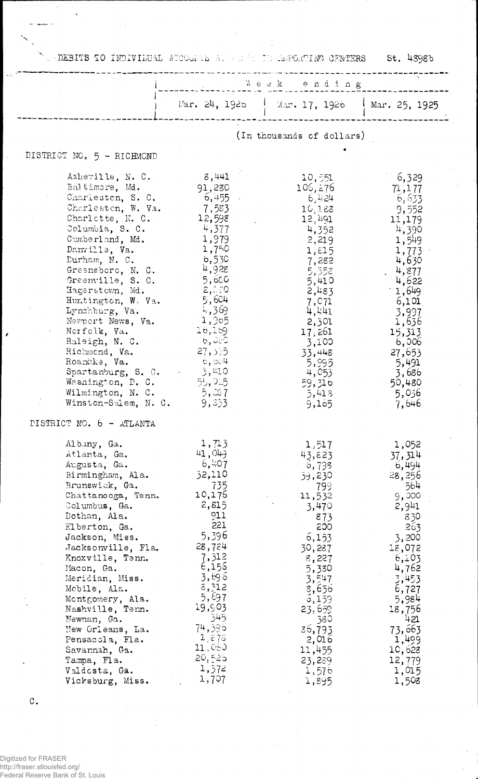NU DEBITS TO INDIVIDUAL ACCOUNTS BE FREED IN REPORTING CENTERS St. 4398b

l,

وريهميها أنبأ

k.

 $\mathbf{r}$ 

|                                                                                                                                                                                                                                                                                                                                                                                                                                                                                                                | Week ending                                                                                                                                                                                                          |                                                                                                                                                                                                                                   |                                                                                                                                                                                                                                   |
|----------------------------------------------------------------------------------------------------------------------------------------------------------------------------------------------------------------------------------------------------------------------------------------------------------------------------------------------------------------------------------------------------------------------------------------------------------------------------------------------------------------|----------------------------------------------------------------------------------------------------------------------------------------------------------------------------------------------------------------------|-----------------------------------------------------------------------------------------------------------------------------------------------------------------------------------------------------------------------------------|-----------------------------------------------------------------------------------------------------------------------------------------------------------------------------------------------------------------------------------|
|                                                                                                                                                                                                                                                                                                                                                                                                                                                                                                                |                                                                                                                                                                                                                      | Mar. 24, 1925   Mar. 17, 1926   Mar. 25, 1925                                                                                                                                                                                     |                                                                                                                                                                                                                                   |
|                                                                                                                                                                                                                                                                                                                                                                                                                                                                                                                |                                                                                                                                                                                                                      | (In thousands of dollars)                                                                                                                                                                                                         |                                                                                                                                                                                                                                   |
| DISTRICT NO. 5 - RICHMOND                                                                                                                                                                                                                                                                                                                                                                                                                                                                                      |                                                                                                                                                                                                                      |                                                                                                                                                                                                                                   |                                                                                                                                                                                                                                   |
| Asheville, N.C.<br>Baltimore, Md.<br>Charleston, S. C.<br>Charlesten, W. Va.<br>Charlotte, N. C.<br>Columbia, S. C.<br>Cumberland, Md.<br>Danville, Va.<br>Durham, N. C.<br>Greensboro, N. C.<br>Greenville, S. C.<br>Hagerstown, Md.<br>Huntington, W. Va.<br>Lynchburg, Va.<br>Newport News, Va.<br>Norfolk, Va.<br>Raleigh, N. C.<br>Richmond, Va.<br>Roancke, Va.<br>Spartanburg, S. C. $\qquad \qquad \frac{1}{2}$ , 410<br>Washington, D. C. $55,915$<br>Wilmington, N. C.<br>Winston-Salem, N. C. 9,333 | 8,441<br>91,230<br>6,455 -<br>7,583<br>12,598<br>4,377<br>1,979<br>1,750<br>6,530<br>4,928<br>5,650<br>2,230<br>5,604<br>4,369<br>1,905<br>16,169<br>6,060<br>27,335<br>$-\mathrm{c}$ , రూ $^{\mathrm{4}}$<br>5,287  | 10,551<br>105, 276<br>- 6,424<br>10,188<br>12,491<br>4,352<br>2,219<br>$1, \epsilon 15$<br>7,282<br>5,358<br>5,410<br>2,483<br>7,071<br>4,441<br>2,301<br>17,261<br>3,100<br>33,448<br>5,995<br>4,053<br>59,316<br>5,418<br>9,155 | 6,329<br>71, 177<br>6,633<br>9,552<br>11,179<br>4,390<br>1,549<br>1,773<br>4,630<br>4,877<br>4,622<br>$-1,649$<br>6,101<br>3,997<br>1,636<br>15,313<br>6,006<br>27,653<br>5,491<br>3,686<br>50,480<br>-5,036<br>7,646             |
| DISTRICT NO. 6 - ATLANTA<br>Albany, Ga.<br>Atlanta, Ga.<br>Augusta, Ga.<br>Birmingham, Ala.<br>Brunswick, Ga.<br>Chattanooga, Tenn.<br>Columbus, Ga.<br>Dothan, Ala.<br>Elberton, Ga.<br>Jackson, Miss.<br>Jacksonville, Fla.<br>Knoxville, Tenn.<br>Macon, Ga.<br>Meridian, Miss.<br>Mobile, Ala.<br>Montgomery, Ala.<br>Nashville, Tenn.<br>Newnan, Ga.<br>Mew Orleans, La.<br>Pensacola, Fla.<br>Savannah, Ga.<br>Tampa, Fla.<br>Valdosta, Ga.<br>Vicksburg, Miss.                                          | 1,713<br>41,049<br>6,407<br>32,110<br>735<br>10,176<br>2,815<br>011<br>221<br>5,396<br>28,784<br>7,312<br>6,155<br>3,696<br>8,312<br>5,697<br>19,903<br>345<br>74,396<br>1,875<br>11,080<br>20,525<br>1,372<br>1,707 | 1,517<br>43,823<br>5,798<br>39,230<br>799<br>11,532<br>3,470<br>873<br>200<br>6,153<br>30,287<br>8,227<br>5,330<br>3,547<br>3,656<br>5,159<br>23,659<br>380<br>36,793<br>2,016<br>11,455<br>23,239<br>1,576<br>1,895              | 1,052<br>37, 314<br>6,494<br>28,256<br>564<br>9,000<br>2,941<br>830<br>263<br>3,200<br>18,072<br>6,103<br>4,762<br>$\frac{3}{2}$ ,453<br>6,727<br>5,984<br>18,756<br>421<br>73,663<br>1,499<br>10,628<br>12,779<br>1,015<br>1,508 |

 $\mathbf C$  .

Digitized for FRASER<br>http://fraser.stlouisfed.org/<br>Federal Reserve Bank of St. Louis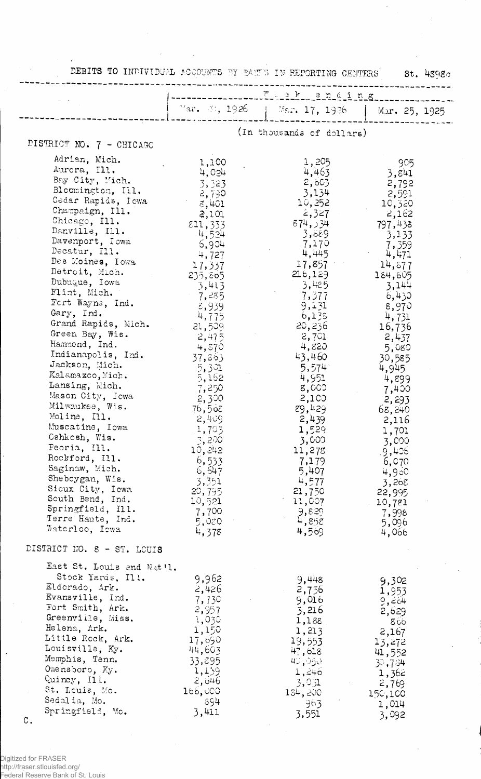|                                                                                                                                                                                                                                                                                                                                                                                                                                                                                                                                                                                                                                                                                                               | DEBITS TO INDIVIDUAL ACCOUNTS BY BART'S IN REPORTING CENTERS<br>$St.$ 4398 $c$                                                                                                                                                                                                                                                                                        |                                                                                                                                                                                                                                                                                                                                               |                                                                                                                                                                                                                                                                                                                                            |  |
|---------------------------------------------------------------------------------------------------------------------------------------------------------------------------------------------------------------------------------------------------------------------------------------------------------------------------------------------------------------------------------------------------------------------------------------------------------------------------------------------------------------------------------------------------------------------------------------------------------------------------------------------------------------------------------------------------------------|-----------------------------------------------------------------------------------------------------------------------------------------------------------------------------------------------------------------------------------------------------------------------------------------------------------------------------------------------------------------------|-----------------------------------------------------------------------------------------------------------------------------------------------------------------------------------------------------------------------------------------------------------------------------------------------------------------------------------------------|--------------------------------------------------------------------------------------------------------------------------------------------------------------------------------------------------------------------------------------------------------------------------------------------------------------------------------------------|--|
|                                                                                                                                                                                                                                                                                                                                                                                                                                                                                                                                                                                                                                                                                                               | ---------- W - 2 k ending                                                                                                                                                                                                                                                                                                                                             |                                                                                                                                                                                                                                                                                                                                               |                                                                                                                                                                                                                                                                                                                                            |  |
|                                                                                                                                                                                                                                                                                                                                                                                                                                                                                                                                                                                                                                                                                                               |                                                                                                                                                                                                                                                                                                                                                                       | "ar. 2; 1926   Mar. 17, 1926                                                                                                                                                                                                                                                                                                                  | Mar. 25, 1925                                                                                                                                                                                                                                                                                                                              |  |
|                                                                                                                                                                                                                                                                                                                                                                                                                                                                                                                                                                                                                                                                                                               | (In thousands of dollars)                                                                                                                                                                                                                                                                                                                                             |                                                                                                                                                                                                                                                                                                                                               |                                                                                                                                                                                                                                                                                                                                            |  |
| DISTRICT NO. 7 - CHICAGO                                                                                                                                                                                                                                                                                                                                                                                                                                                                                                                                                                                                                                                                                      |                                                                                                                                                                                                                                                                                                                                                                       |                                                                                                                                                                                                                                                                                                                                               |                                                                                                                                                                                                                                                                                                                                            |  |
| Adrian, Mich.<br>Aurora, Ill.<br>Bay City, Mich.<br>Bloomington, Ill.<br>Cedar Rapids, Iowa<br>Champaign, Ill.<br>Chicago, Ill.<br>Danville, Ill.<br>Davenport, Iowa<br>Decatur, Ill.<br>Des Moines, Iowa<br>Detroit, Mich.<br>Dubuque, Iowa<br>Flint, Mich.<br>Fort Wayne, Ind.<br>Gary, Ind.<br>Grand Rapids, Mich.<br>Green Bay, Wis.<br>Hammond, Ind.<br>Indianapolis, Ind.<br>Jackson, Mich.<br>Kalamazco, Mich.<br>Lansing, Mich.<br>Mason City, Icwa<br>Milwaukee, Wis.<br>Moline, Ill.<br>Muscatine, Iowa<br>Cshkosh, Wis.<br>Peoria, Ill.<br>Rockford, Ill.<br>Saginaw, Mich.<br>Sheboygan, Wis.<br>Sicux City, Iowa<br>South Bend, Ind.<br>Springfield, Ill.<br>Terre Haute, Ind.<br>Waterloo, Iowa | 1,100<br>4,024<br>3,323<br>-2,790<br>8,401<br>2,101<br>$\overline{\epsilon}$ 11, 333<br>4,524<br>6,904<br>4,727<br>17,337<br>235,805<br>3,413<br>7,285<br>8,939<br>4,775<br>21,509<br>2,475<br>4,870<br>37,863<br>5,301<br>$-5,162$<br>7,250<br>2,300<br>76,5όε<br>2,409<br>1,703<br>3,200<br>10,242<br>6,533<br>6,647<br>3,351<br>20,795<br>10,521<br>7,700<br>5,080 | 1,205<br>4,463<br>2,603<br>3,134<br>10,252<br>2,327<br>874,334<br>3,889<br>7,170<br>4,445<br>17,857<br>216,129<br>3,485<br>7,377<br>9,131<br>6,135<br>20,236<br>2,701<br>4,820<br>43,460<br>5,574<br>4,951<br>8,000<br>-2,100<br>89,429<br>2,439<br>1,529<br>3,000<br>11,278<br>7,179<br>5,407<br>4,577<br>21,750<br>11,007<br>9,829<br>4,858 | 905<br>3,841<br>2,792<br>2,591<br>10,320<br>2,162<br>797,438<br>3,133<br>7,359<br>4,471<br>14,677<br>184,805<br>3,144<br>6,430<br>8,970<br>4,731<br>16,736<br>2,437<br>5,080<br>30,585<br>4,945<br>4,899<br>7,400<br>2,293<br>68,240<br>2,116<br>1,701<br>3,000<br>.9,406<br>6,070<br>4,960<br>3,268<br>22,995<br>10,781<br>7,998<br>5,096 |  |
| DISTRICT NO. 8 - ST. LOUIS                                                                                                                                                                                                                                                                                                                                                                                                                                                                                                                                                                                                                                                                                    | 4,378                                                                                                                                                                                                                                                                                                                                                                 | 4,569                                                                                                                                                                                                                                                                                                                                         | 4,066                                                                                                                                                                                                                                                                                                                                      |  |
| East St. Louis and Nat'l.<br>Stock Yards, Ill.<br>Eldorado, Ark.<br>Evansville, Ind.<br>Fort Smith, Ark.<br>Greenville, Miss.<br>Helena, Ark.<br>Little Rock, Ark.<br>Louisville, Ky.<br>Memphis, Tenn.<br>Owensboro, Ky.<br>Quincy, Ill.<br>St. Louis, Mo.<br>Sedalia, Mo.<br>Springfield, Mo.<br>$\mathbb C$ .                                                                                                                                                                                                                                                                                                                                                                                              | 9,962<br>2,426<br>7,730<br>2,957<br>1,030<br>1,150<br>17,690<br>44,603<br>33,895<br>1,159<br>2,046<br>166,000<br>894<br>3,411                                                                                                                                                                                                                                         | 9,448<br>2,756<br>9,016<br>3,216<br>1,188<br>1,213<br>19,553<br>47,618<br>40,050<br>1, 240<br>3,051<br>184,200<br>963<br>3,551                                                                                                                                                                                                                | 9,302<br>1,953<br>9,264<br>2,629<br>866<br>2,167<br>13,272<br>41,552<br>30,784<br>1,362<br>2,769<br>150,100<br>1,014<br>3,092                                                                                                                                                                                                              |  |

Digitized for FRASER http://fraser.stlouisfed.org/ Federal Reserve Bank of St. Louis

 $\overline{\phantom{a}}$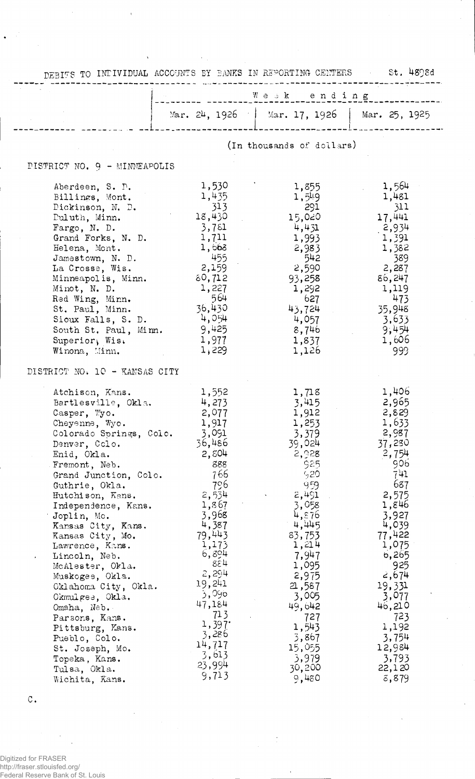| DEBITS TO INTIVIDUAL ACCOUNTS BY BANKS IN REPORTING CENTERS St. 4898d |                 |                                               |                  |
|-----------------------------------------------------------------------|-----------------|-----------------------------------------------|------------------|
|                                                                       |                 | Weak ending                                   |                  |
|                                                                       |                 | Mar. 24, 1926   Mar. 17, 1926   Mar. 25, 1925 |                  |
|                                                                       |                 | (In thousands of dollars)                     |                  |
| DISTRICT NO. 9 - MINNEAPOLIS                                          |                 |                                               |                  |
| Aberdeen, S. D.                                                       | 1,530           | 1,855                                         | 1,564            |
| Billings, Mont.                                                       | 1,435           | 1,549                                         | 1,481            |
| Dickinson, N. D.                                                      | 313             | 291                                           | 311              |
| Puluth, Minn.<br>Fargo, N. D.                                         | 18,430<br>3,781 | 15,020<br>4,431                               | 17,441<br>2,934  |
| Grand Forks, N. D.                                                    | 1,711           | 1,993                                         | 1,391            |
| Helena, Mont.                                                         | 1,668           | 2,983                                         | 1,382            |
| Jamestown, N. D.                                                      | 455             | 542                                           | 389              |
| La Crosse, Wis.                                                       | 2,159           | 2,590                                         | 2,287            |
| Minneapolis, Minn.<br>Minot, N. D.                                    | 80,712<br>1,227 | 93,258<br>1,292                               | 86,247<br>1,119  |
| Red Wing, Minn.                                                       | 564             | 627                                           | 473              |
| St. Paul, Minn.                                                       | 36,430          | 43,724                                        | 35,948           |
| Sioux Falls, S. D.                                                    | 4,054           | 4,057                                         | 3,633            |
| South St. Paul, Minn.                                                 | 9,425           | 8,746                                         | 9,454            |
| Superior, Wis.<br>Winona, Minn.                                       | 1,977<br>1,229  | 1,837<br>1,126                                | 1,606<br>999     |
|                                                                       |                 |                                               |                  |
| DISTRICT NO. 10 - KANSAS CITY                                         |                 |                                               |                  |
| Atchison, Kans.                                                       | 1,552           | 1,718                                         | 1,406            |
| Bartlesville, Okla.                                                   | 4,273<br>2,077  | 3,415                                         | 2,965<br>2,829   |
| Casper, Wyo.<br>Cheyenne, Wyo.                                        | 1,917           | 1,912<br>1,253                                | 1,633            |
| Colorado Springs, Colo.                                               | 3,091           | 3,379                                         | -2,987           |
| Denver, Colo.                                                         | 36,486          | 39,024                                        | 37,280           |
| Enid, Okla.                                                           | 2,804           | 2,928                                         | 2,754            |
| Fremont, Neb.<br>Grand Junction, Colo.                                | 888<br>766      | 925<br>920                                    | 906<br>741       |
| Guthrie, Okla.                                                        | 796             | 959                                           | 687              |
| Hutchison, Kans.                                                      | 2,534           | 2,491                                         | 2,575            |
| Independence, Kans.                                                   | 1,867           | 3,058                                         | 1,846            |
| Joplin, Mo.                                                           | 3,968<br>4,387  | 4,876<br>4,445                                | 3,927<br>4,039   |
| Kansas City, Kans.<br>Kansas City, Mo.                                | 79,443          | 83,753                                        | 77,422           |
| Lawrence, Kans.                                                       | 1,173           | 1,214                                         | 1,075            |
| Lincoln, Neb.                                                         | 6,894           | 7,947                                         | 6,265            |
| McAlester, Okla.                                                      | 884<br>2,294    | 1,095<br>2,975                                | 925<br>2,674     |
| Muskogee, Okla.<br>Oklahoma City, Okla.                               | 19,241          | 2,587                                         | 19,331           |
| Okmulgee, Okla.                                                       | 3,096           | 3,005                                         | 3,077            |
| Omaha, Neb.                                                           | 47,184          | 49,642                                        | 46,210           |
| Parsons, Kans.                                                        | 713<br>1,397    | 727                                           | 723              |
| Pittsburg, Kans.                                                      | 3,286           | 1,543<br>3,867                                | 1,192<br>3,754   |
| Pueblo, Colo.<br>St. Joseph, Mo.                                      | 14,717          | 15,055                                        | 12,984           |
| Topeka, Kans.                                                         | 3,613           | 3,979                                         | 3,793            |
| Tulsa, Okla.                                                          | 23,994          | 30,200                                        | 22,120           |
| Wichita, Kans.                                                        | 9,713           | 9,480                                         | $\tilde{c}$ ,879 |

 $\frac{1}{2}$ 

c.

Digitized for FRASER http://fraser.stlouisfed.org/ Federal Reserve Bank of St. Louis

 $\ddot{\phantom{a}}$ 

 $\hat{\boldsymbol{\beta}}$ 

i.

j

 $\mathcal{L}_{\text{max}}$